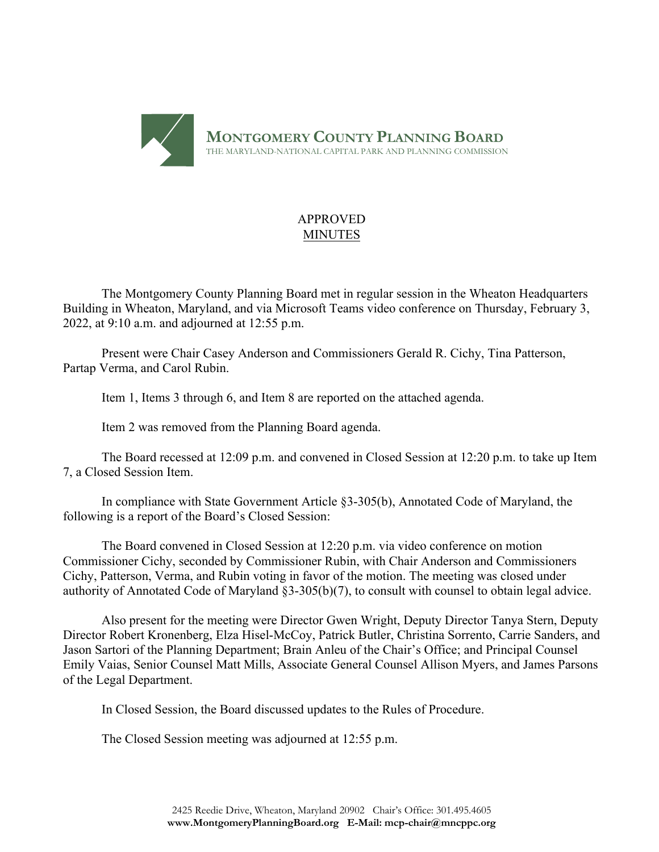

# APPROVED MINUTES

The Montgomery County Planning Board met in regular session in the Wheaton Headquarters Building in Wheaton, Maryland, and via Microsoft Teams video conference on Thursday, February 3, 2022, at 9:10 a.m. and adjourned at 12:55 p.m.

Present were Chair Casey Anderson and Commissioners Gerald R. Cichy, Tina Patterson, Partap Verma, and Carol Rubin.

Item 1, Items 3 through 6, and Item 8 are reported on the attached agenda.

Item 2 was removed from the Planning Board agenda.

The Board recessed at 12:09 p.m. and convened in Closed Session at 12:20 p.m. to take up Item 7, a Closed Session Item.

In compliance with State Government Article §3-305(b), Annotated Code of Maryland, the following is a report of the Board's Closed Session:

The Board convened in Closed Session at 12:20 p.m. via video conference on motion Commissioner Cichy, seconded by Commissioner Rubin, with Chair Anderson and Commissioners Cichy, Patterson, Verma, and Rubin voting in favor of the motion. The meeting was closed under authority of Annotated Code of Maryland §3-305(b)(7), to consult with counsel to obtain legal advice.

Also present for the meeting were Director Gwen Wright, Deputy Director Tanya Stern, Deputy Director Robert Kronenberg, Elza Hisel-McCoy, Patrick Butler, Christina Sorrento, Carrie Sanders, and Jason Sartori of the Planning Department; Brain Anleu of the Chair's Office; and Principal Counsel Emily Vaias, Senior Counsel Matt Mills, Associate General Counsel Allison Myers, and James Parsons of the Legal Department.

In Closed Session, the Board discussed updates to the Rules of Procedure.

The Closed Session meeting was adjourned at 12:55 p.m.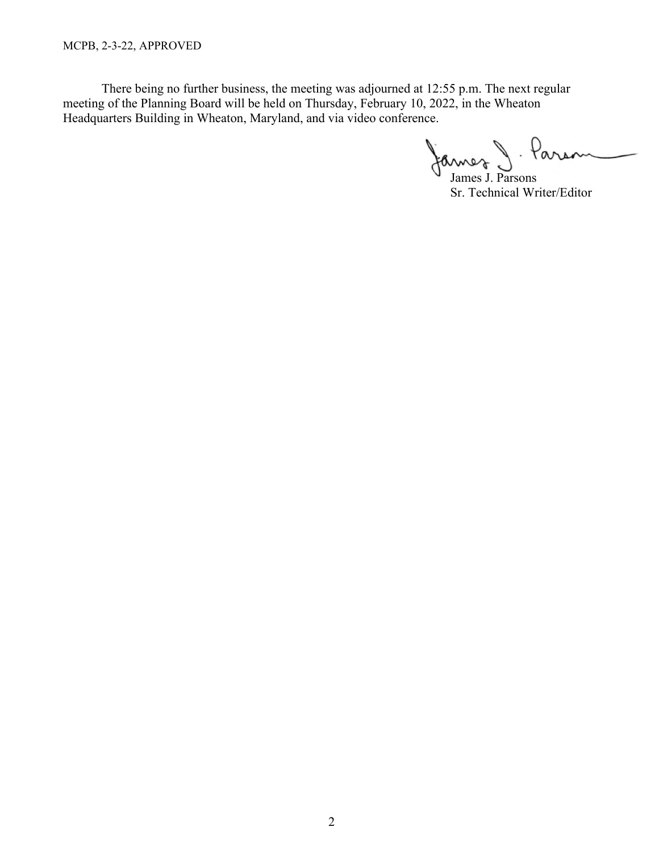MCPB, 2-3-22, APPROVED

There being no further business, the meeting was adjourned at 12:55 p.m. The next regular meeting of the Planning Board will be held on Thursday, February 10, 2022, in the Wheaton Headquarters Building in Wheaton, Maryland, and via video conference.

James J. Parsons

Sr. Technical Writer/Editor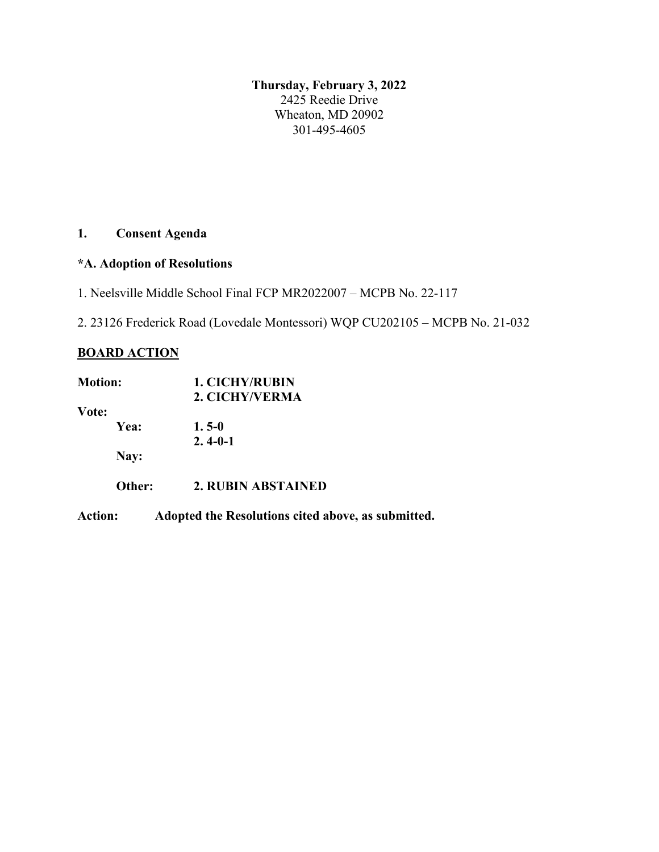**Thursday, February 3, 2022** 2425 Reedie Drive Wheaton, MD 20902 301-495-4605

# **1. Consent Agenda**

# **\*A. Adoption of Resolutions**

1. Neelsville Middle School Final FCP MR2022007 – MCPB No. 22-117

2. 23126 Frederick Road (Lovedale Montessori) WQP CU202105 – MCPB No. 21-032

# **BOARD ACTION**

| <b>Motion:</b> | <b>1. CICHY/RUBIN</b>                              |
|----------------|----------------------------------------------------|
|                | 2. CICHY/VERMA                                     |
| Vote:          |                                                    |
| Yea:           | $1.5 - 0$                                          |
|                | $2.4 - 0 - 1$                                      |
| Nay:           |                                                    |
| Other:         | 2. RUBIN ABSTAINED                                 |
| <b>Action:</b> | Adopted the Resolutions cited above, as submitted. |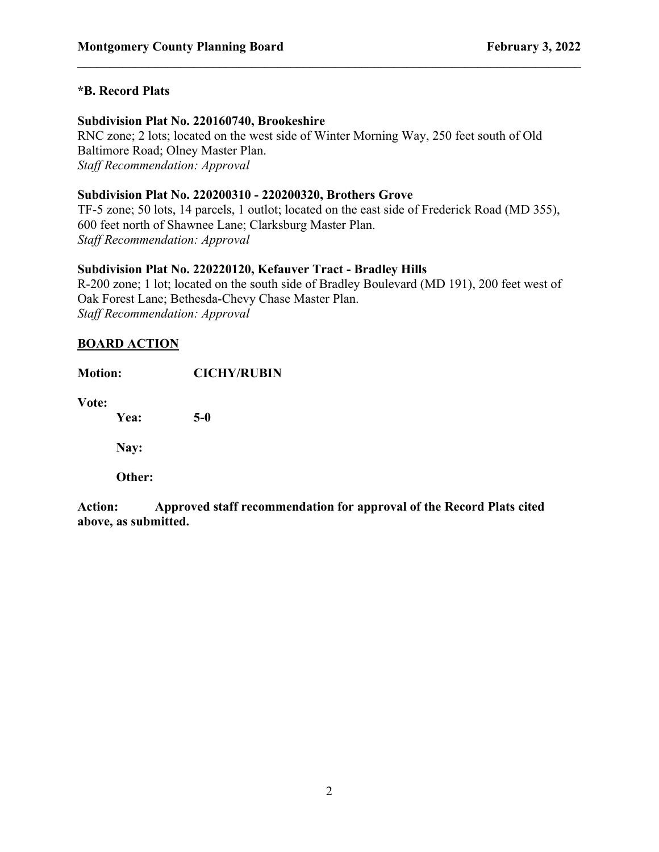### **\*B. Record Plats**

#### **Subdivision Plat No. 220160740, Brookeshire**

RNC zone; 2 lots; located on the west side of Winter Morning Way, 250 feet south of Old Baltimore Road; Olney Master Plan. *Staff Recommendation: Approval*

**\_\_\_\_\_\_\_\_\_\_\_\_\_\_\_\_\_\_\_\_\_\_\_\_\_\_\_\_\_\_\_\_\_\_\_\_\_\_\_\_\_\_\_\_\_\_\_\_\_\_\_\_\_\_\_\_\_\_\_\_\_\_\_\_\_\_\_\_\_\_\_\_\_\_\_\_\_\_**

#### **Subdivision Plat No. 220200310 - 220200320, Brothers Grove**

TF-5 zone; 50 lots, 14 parcels, 1 outlot; located on the east side of Frederick Road (MD 355), 600 feet north of Shawnee Lane; Clarksburg Master Plan. *Staff Recommendation: Approval*

#### **Subdivision Plat No. 220220120, Kefauver Tract - Bradley Hills**

R-200 zone; 1 lot; located on the south side of Bradley Boulevard (MD 191), 200 feet west of Oak Forest Lane; Bethesda-Chevy Chase Master Plan. *Staff Recommendation: Approval*

## **BOARD ACTION**

| <b>Motion:</b> |        | <b>CICHY/RUBIN</b> |
|----------------|--------|--------------------|
| Vote:          | Yea:   | $5-0$              |
|                | Nay:   |                    |
|                | Other: |                    |
|                |        |                    |

**Action: Approved staff recommendation for approval of the Record Plats cited above, as submitted.**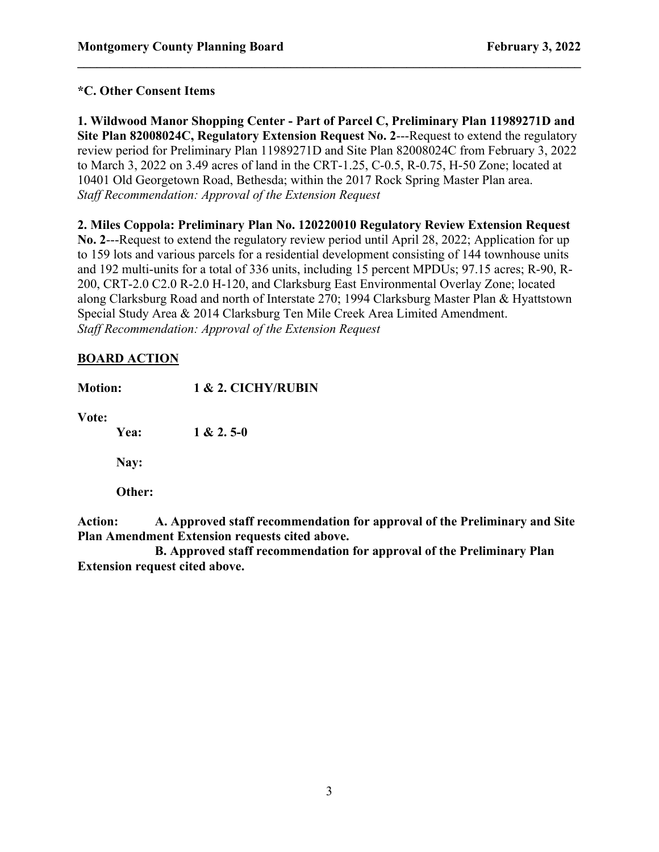# **\*C. Other Consent Items**

**1. Wildwood Manor Shopping Center - Part of Parcel C, Preliminary Plan 11989271D and Site Plan 82008024C, Regulatory Extension Request No. 2**---Request to extend the regulatory review period for Preliminary Plan 11989271D and Site Plan 82008024C from February 3, 2022 to March 3, 2022 on 3.49 acres of land in the CRT-1.25, C-0.5, R-0.75, H-50 Zone; located at 10401 Old Georgetown Road, Bethesda; within the 2017 Rock Spring Master Plan area. *Staff Recommendation: Approval of the Extension Request*

**\_\_\_\_\_\_\_\_\_\_\_\_\_\_\_\_\_\_\_\_\_\_\_\_\_\_\_\_\_\_\_\_\_\_\_\_\_\_\_\_\_\_\_\_\_\_\_\_\_\_\_\_\_\_\_\_\_\_\_\_\_\_\_\_\_\_\_\_\_\_\_\_\_\_\_\_\_\_**

**2. Miles Coppola: Preliminary Plan No. 120220010 Regulatory Review Extension Request No. 2**---Request to extend the regulatory review period until April 28, 2022; Application for up to 159 lots and various parcels for a residential development consisting of 144 townhouse units and 192 multi-units for a total of 336 units, including 15 percent MPDUs; 97.15 acres; R-90, R-200, CRT-2.0 C2.0 R-2.0 H-120, and Clarksburg East Environmental Overlay Zone; located along Clarksburg Road and north of Interstate 270; 1994 Clarksburg Master Plan & Hyattstown Special Study Area & 2014 Clarksburg Ten Mile Creek Area Limited Amendment. *Staff Recommendation: Approval of the Extension Request*

# **BOARD ACTION**

| <b>Motion:</b> |        | 1 & 2. CICHY/RUBIN |  |
|----------------|--------|--------------------|--|
| Vote:          | Yea:   | $1 & 2.5 - 0$      |  |
|                | Nay:   |                    |  |
|                | Other: |                    |  |
|                |        |                    |  |

**Action: A. Approved staff recommendation for approval of the Preliminary and Site Plan Amendment Extension requests cited above.**

**B. Approved staff recommendation for approval of the Preliminary Plan Extension request cited above.**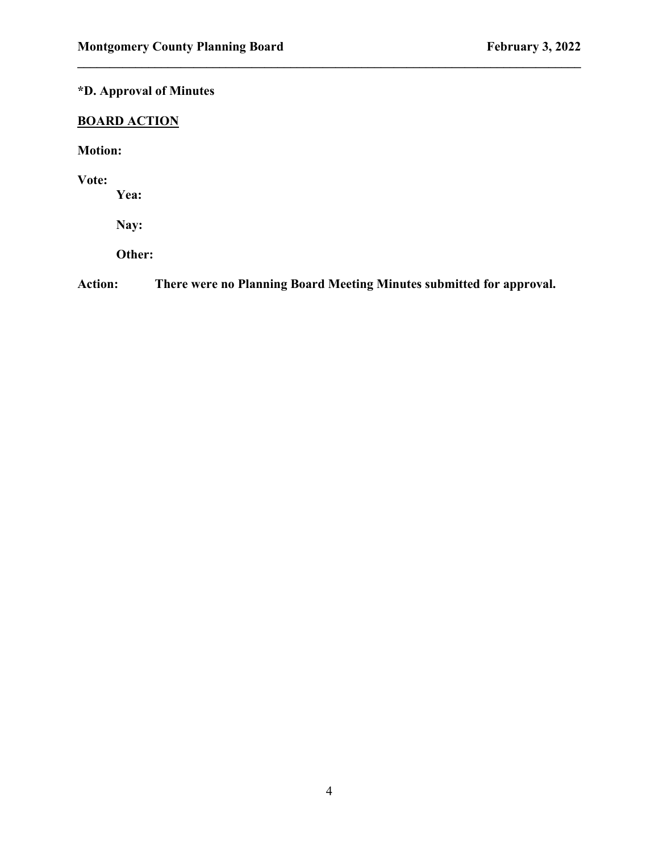# **\*D. Approval of Minutes**

# **BOARD ACTION**

**Motion:**

**Vote:**

**Yea:**

**Nay:**

**Other:** 

**Action: There were no Planning Board Meeting Minutes submitted for approval.**

**\_\_\_\_\_\_\_\_\_\_\_\_\_\_\_\_\_\_\_\_\_\_\_\_\_\_\_\_\_\_\_\_\_\_\_\_\_\_\_\_\_\_\_\_\_\_\_\_\_\_\_\_\_\_\_\_\_\_\_\_\_\_\_\_\_\_\_\_\_\_\_\_\_\_\_\_\_\_**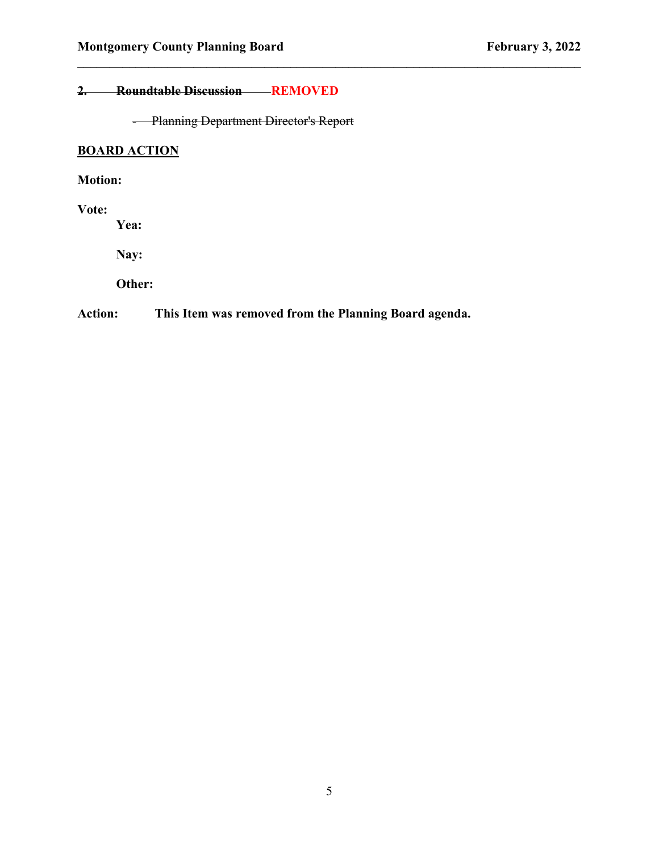# **2. Roundtable Discussion REMOVED**

- Planning Department Director's Report

**\_\_\_\_\_\_\_\_\_\_\_\_\_\_\_\_\_\_\_\_\_\_\_\_\_\_\_\_\_\_\_\_\_\_\_\_\_\_\_\_\_\_\_\_\_\_\_\_\_\_\_\_\_\_\_\_\_\_\_\_\_\_\_\_\_\_\_\_\_\_\_\_\_\_\_\_\_\_**

# **BOARD ACTION**

# **Motion:**

#### **Vote:**

**Yea:**

**Nay:**

**Other:** 

# **Action: This Item was removed from the Planning Board agenda.**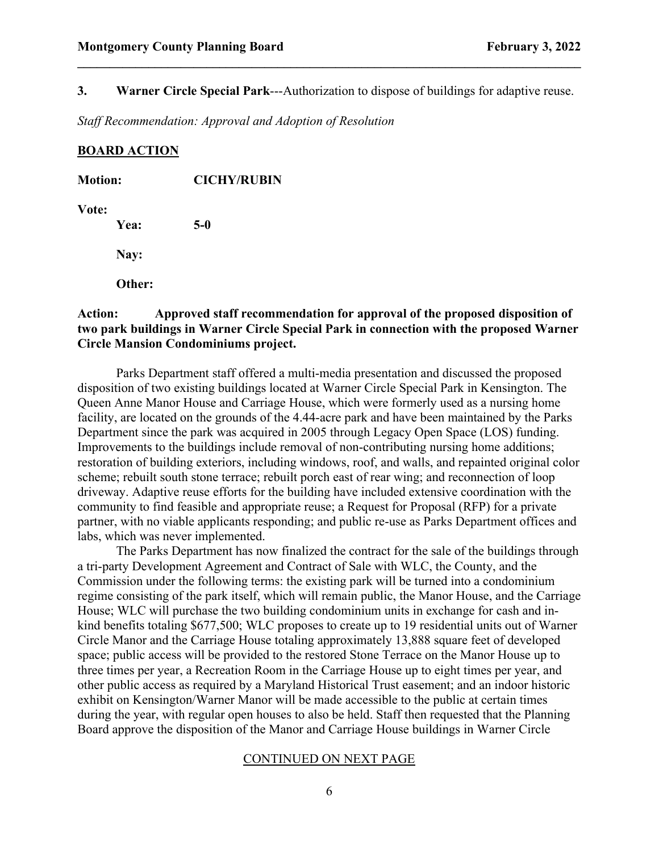### **3. Warner Circle Special Park**---Authorization to dispose of buildings for adaptive reuse.

**\_\_\_\_\_\_\_\_\_\_\_\_\_\_\_\_\_\_\_\_\_\_\_\_\_\_\_\_\_\_\_\_\_\_\_\_\_\_\_\_\_\_\_\_\_\_\_\_\_\_\_\_\_\_\_\_\_\_\_\_\_\_\_\_\_\_\_\_\_\_\_\_\_\_\_\_\_\_**

*Staff Recommendation: Approval and Adoption of Resolution*

### **BOARD ACTION**

| <b>Motion:</b> | <b>CICHY/RUBIN</b> |  |
|----------------|--------------------|--|
| Vote:<br>Yea:  | $5-0$              |  |
| Nay:           |                    |  |
| Other:         |                    |  |
|                |                    |  |

## **Action: Approved staff recommendation for approval of the proposed disposition of two park buildings in Warner Circle Special Park in connection with the proposed Warner Circle Mansion Condominiums project.**

Parks Department staff offered a multi-media presentation and discussed the proposed disposition of two existing buildings located at Warner Circle Special Park in Kensington. The Queen Anne Manor House and Carriage House, which were formerly used as a nursing home facility, are located on the grounds of the 4.44-acre park and have been maintained by the Parks Department since the park was acquired in 2005 through Legacy Open Space (LOS) funding. Improvements to the buildings include removal of non-contributing nursing home additions; restoration of building exteriors, including windows, roof, and walls, and repainted original color scheme; rebuilt south stone terrace; rebuilt porch east of rear wing; and reconnection of loop driveway. Adaptive reuse efforts for the building have included extensive coordination with the community to find feasible and appropriate reuse; a Request for Proposal (RFP) for a private partner, with no viable applicants responding; and public re-use as Parks Department offices and labs, which was never implemented.

The Parks Department has now finalized the contract for the sale of the buildings through a tri-party Development Agreement and Contract of Sale with WLC, the County, and the Commission under the following terms: the existing park will be turned into a condominium regime consisting of the park itself, which will remain public, the Manor House, and the Carriage House; WLC will purchase the two building condominium units in exchange for cash and inkind benefits totaling \$677,500; WLC proposes to create up to 19 residential units out of Warner Circle Manor and the Carriage House totaling approximately 13,888 square feet of developed space; public access will be provided to the restored Stone Terrace on the Manor House up to three times per year, a Recreation Room in the Carriage House up to eight times per year, and other public access as required by a Maryland Historical Trust easement; and an indoor historic exhibit on Kensington/Warner Manor will be made accessible to the public at certain times during the year, with regular open houses to also be held. Staff then requested that the Planning Board approve the disposition of the Manor and Carriage House buildings in Warner Circle

#### CONTINUED ON NEXT PAGE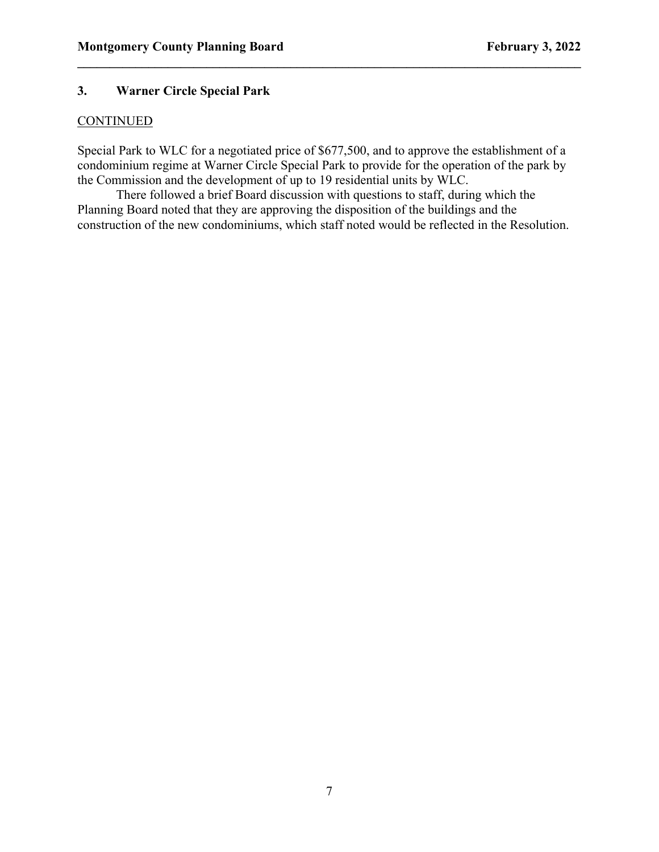## **3. Warner Circle Special Park**

#### **CONTINUED**

Special Park to WLC for a negotiated price of \$677,500, and to approve the establishment of a condominium regime at Warner Circle Special Park to provide for the operation of the park by the Commission and the development of up to 19 residential units by WLC.

**\_\_\_\_\_\_\_\_\_\_\_\_\_\_\_\_\_\_\_\_\_\_\_\_\_\_\_\_\_\_\_\_\_\_\_\_\_\_\_\_\_\_\_\_\_\_\_\_\_\_\_\_\_\_\_\_\_\_\_\_\_\_\_\_\_\_\_\_\_\_\_\_\_\_\_\_\_\_**

There followed a brief Board discussion with questions to staff, during which the Planning Board noted that they are approving the disposition of the buildings and the construction of the new condominiums, which staff noted would be reflected in the Resolution.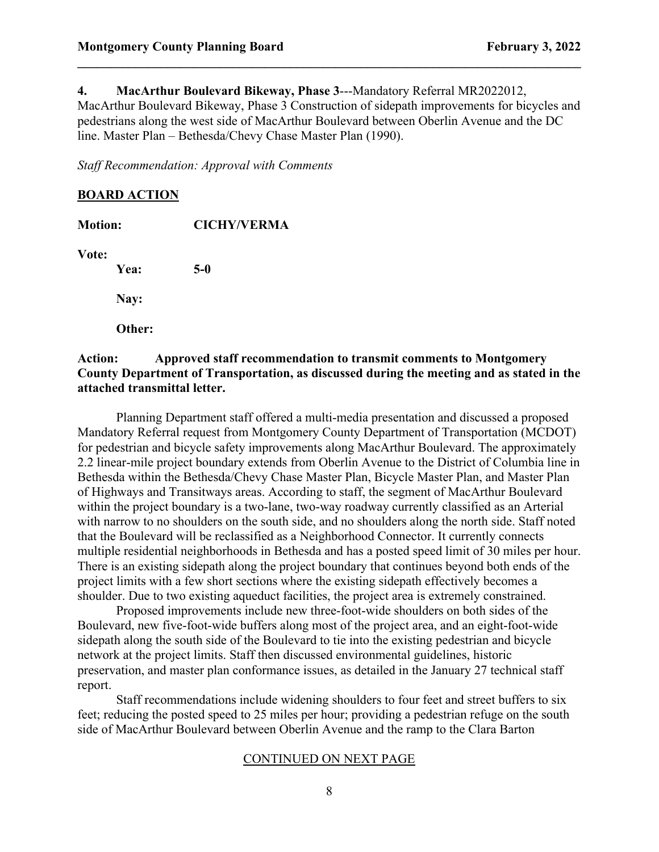**4. MacArthur Boulevard Bikeway, Phase 3**---Mandatory Referral MR2022012, MacArthur Boulevard Bikeway, Phase 3 Construction of sidepath improvements for bicycles and pedestrians along the west side of MacArthur Boulevard between Oberlin Avenue and the DC line. Master Plan – Bethesda/Chevy Chase Master Plan (1990).

**\_\_\_\_\_\_\_\_\_\_\_\_\_\_\_\_\_\_\_\_\_\_\_\_\_\_\_\_\_\_\_\_\_\_\_\_\_\_\_\_\_\_\_\_\_\_\_\_\_\_\_\_\_\_\_\_\_\_\_\_\_\_\_\_\_\_\_\_\_\_\_\_\_\_\_\_\_\_**

*Staff Recommendation: Approval with Comments*

## **BOARD ACTION**

| <b>Motion:</b> | <b>CICHY/VERMA</b> |  |
|----------------|--------------------|--|
| Vote:<br>Yea:  | $5-0$              |  |
| Nay:           |                    |  |
| Other:         |                    |  |
|                |                    |  |

## **Action: Approved staff recommendation to transmit comments to Montgomery County Department of Transportation, as discussed during the meeting and as stated in the attached transmittal letter.**

Planning Department staff offered a multi-media presentation and discussed a proposed Mandatory Referral request from Montgomery County Department of Transportation (MCDOT) for pedestrian and bicycle safety improvements along MacArthur Boulevard. The approximately 2.2 linear-mile project boundary extends from Oberlin Avenue to the District of Columbia line in Bethesda within the Bethesda/Chevy Chase Master Plan, Bicycle Master Plan, and Master Plan of Highways and Transitways areas. According to staff, the segment of MacArthur Boulevard within the project boundary is a two-lane, two-way roadway currently classified as an Arterial with narrow to no shoulders on the south side, and no shoulders along the north side. Staff noted that the Boulevard will be reclassified as a Neighborhood Connector. It currently connects multiple residential neighborhoods in Bethesda and has a posted speed limit of 30 miles per hour. There is an existing sidepath along the project boundary that continues beyond both ends of the project limits with a few short sections where the existing sidepath effectively becomes a shoulder. Due to two existing aqueduct facilities, the project area is extremely constrained.

Proposed improvements include new three-foot-wide shoulders on both sides of the Boulevard, new five-foot-wide buffers along most of the project area, and an eight-foot-wide sidepath along the south side of the Boulevard to tie into the existing pedestrian and bicycle network at the project limits. Staff then discussed environmental guidelines, historic preservation, and master plan conformance issues, as detailed in the January 27 technical staff report.

Staff recommendations include widening shoulders to four feet and street buffers to six feet; reducing the posted speed to 25 miles per hour; providing a pedestrian refuge on the south side of MacArthur Boulevard between Oberlin Avenue and the ramp to the Clara Barton

#### CONTINUED ON NEXT PAGE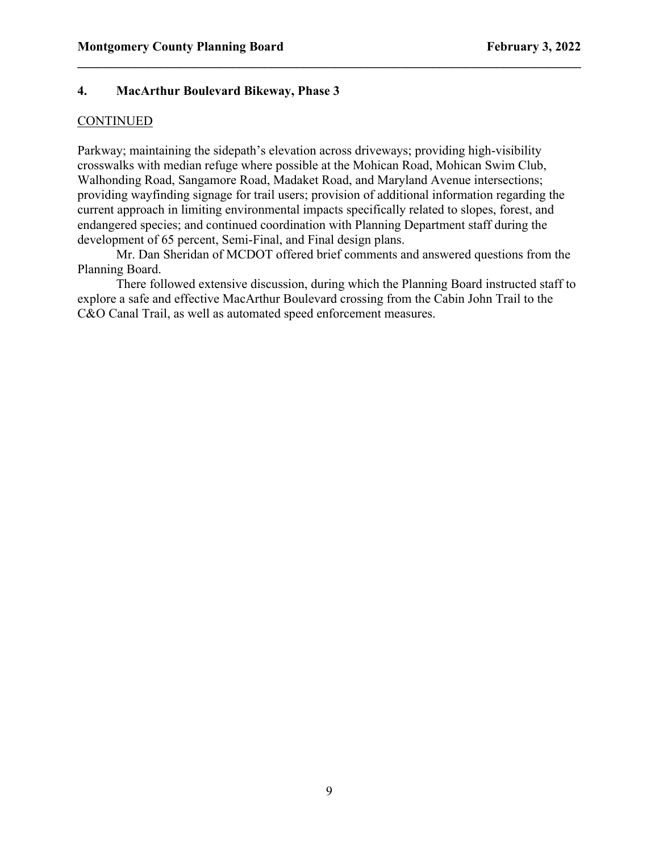## **4. MacArthur Boulevard Bikeway, Phase 3**

### **CONTINUED**

Parkway; maintaining the sidepath's elevation across driveways; providing high-visibility crosswalks with median refuge where possible at the Mohican Road, Mohican Swim Club, Walhonding Road, Sangamore Road, Madaket Road, and Maryland Avenue intersections; providing wayfinding signage for trail users; provision of additional information regarding the current approach in limiting environmental impacts specifically related to slopes, forest, and endangered species; and continued coordination with Planning Department staff during the development of 65 percent, Semi-Final, and Final design plans.

**\_\_\_\_\_\_\_\_\_\_\_\_\_\_\_\_\_\_\_\_\_\_\_\_\_\_\_\_\_\_\_\_\_\_\_\_\_\_\_\_\_\_\_\_\_\_\_\_\_\_\_\_\_\_\_\_\_\_\_\_\_\_\_\_\_\_\_\_\_\_\_\_\_\_\_\_\_\_**

Mr. Dan Sheridan of MCDOT offered brief comments and answered questions from the Planning Board.

There followed extensive discussion, during which the Planning Board instructed staff to explore a safe and effective MacArthur Boulevard crossing from the Cabin John Trail to the C&O Canal Trail, as well as automated speed enforcement measures.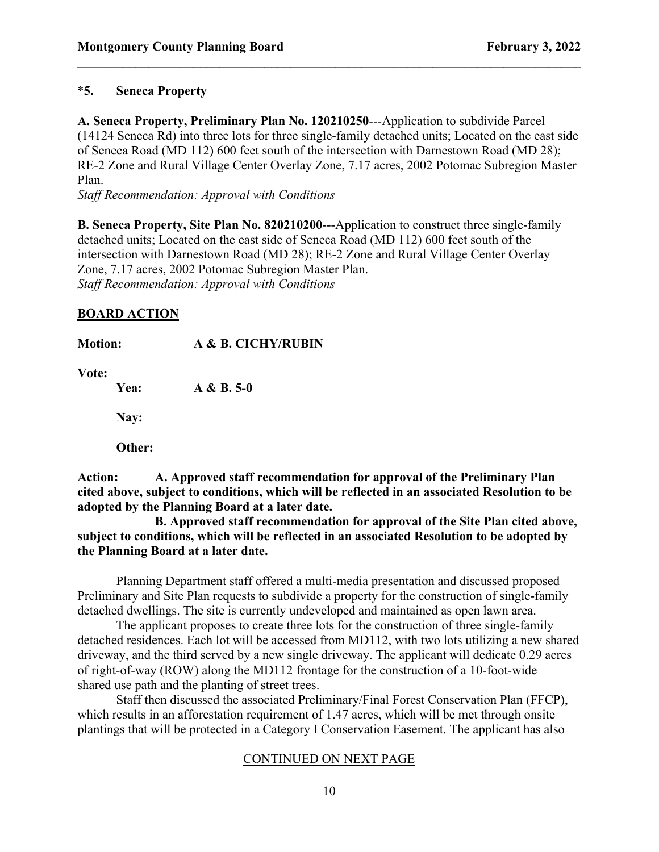## \***5. Seneca Property**

**A. Seneca Property, Preliminary Plan No. 120210250**---Application to subdivide Parcel (14124 Seneca Rd) into three lots for three single-family detached units; Located on the east side of Seneca Road (MD 112) 600 feet south of the intersection with Darnestown Road (MD 28); RE-2 Zone and Rural Village Center Overlay Zone, 7.17 acres, 2002 Potomac Subregion Master Plan.

**\_\_\_\_\_\_\_\_\_\_\_\_\_\_\_\_\_\_\_\_\_\_\_\_\_\_\_\_\_\_\_\_\_\_\_\_\_\_\_\_\_\_\_\_\_\_\_\_\_\_\_\_\_\_\_\_\_\_\_\_\_\_\_\_\_\_\_\_\_\_\_\_\_\_\_\_\_\_**

*Staff Recommendation: Approval with Conditions*

**B. Seneca Property, Site Plan No. 820210200**---Application to construct three single-family detached units; Located on the east side of Seneca Road (MD 112) 600 feet south of the intersection with Darnestown Road (MD 28); RE-2 Zone and Rural Village Center Overlay Zone, 7.17 acres, 2002 Potomac Subregion Master Plan. *Staff Recommendation: Approval with Conditions*

## **BOARD ACTION**

**Motion: A & B. CICHY/RUBIN**

**Vote:**

**Yea: A & B. 5-0**

**Nay:**

**Other:** 

**Action: A. Approved staff recommendation for approval of the Preliminary Plan cited above, subject to conditions, which will be reflected in an associated Resolution to be adopted by the Planning Board at a later date.**

**B. Approved staff recommendation for approval of the Site Plan cited above, subject to conditions, which will be reflected in an associated Resolution to be adopted by the Planning Board at a later date.**

Planning Department staff offered a multi-media presentation and discussed proposed Preliminary and Site Plan requests to subdivide a property for the construction of single-family detached dwellings. The site is currently undeveloped and maintained as open lawn area.

The applicant proposes to create three lots for the construction of three single-family detached residences. Each lot will be accessed from MD112, with two lots utilizing a new shared driveway, and the third served by a new single driveway. The applicant will dedicate 0.29 acres of right-of-way (ROW) along the MD112 frontage for the construction of a 10-foot-wide shared use path and the planting of street trees.

Staff then discussed the associated Preliminary/Final Forest Conservation Plan (FFCP), which results in an afforestation requirement of 1.47 acres, which will be met through onsite plantings that will be protected in a Category I Conservation Easement. The applicant has also

### CONTINUED ON NEXT PAGE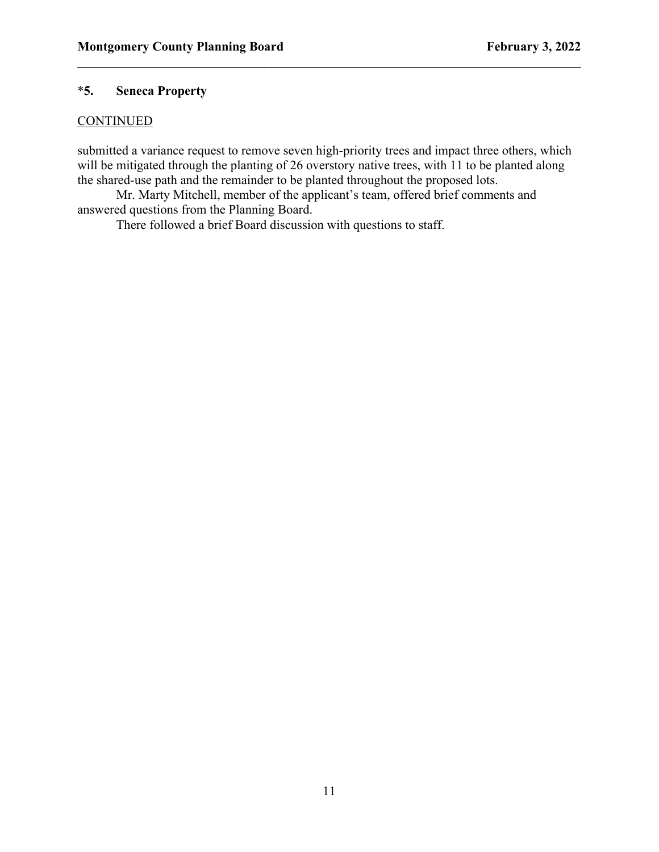# \***5. Seneca Property**

### **CONTINUED**

submitted a variance request to remove seven high-priority trees and impact three others, which will be mitigated through the planting of 26 overstory native trees, with 11 to be planted along the shared-use path and the remainder to be planted throughout the proposed lots.

**\_\_\_\_\_\_\_\_\_\_\_\_\_\_\_\_\_\_\_\_\_\_\_\_\_\_\_\_\_\_\_\_\_\_\_\_\_\_\_\_\_\_\_\_\_\_\_\_\_\_\_\_\_\_\_\_\_\_\_\_\_\_\_\_\_\_\_\_\_\_\_\_\_\_\_\_\_\_**

Mr. Marty Mitchell, member of the applicant's team, offered brief comments and answered questions from the Planning Board.

There followed a brief Board discussion with questions to staff.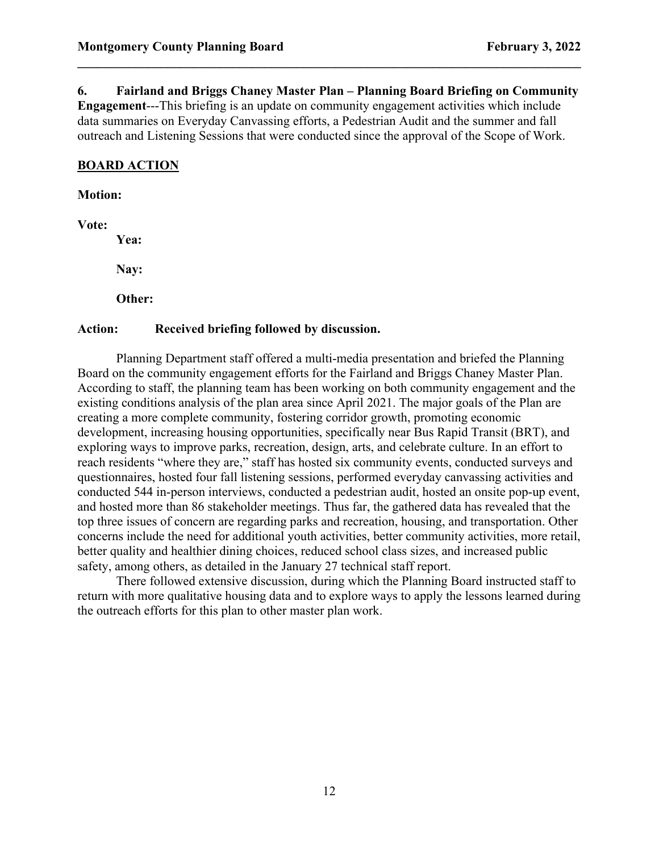**6. Fairland and Briggs Chaney Master Plan – Planning Board Briefing on Community** 

**\_\_\_\_\_\_\_\_\_\_\_\_\_\_\_\_\_\_\_\_\_\_\_\_\_\_\_\_\_\_\_\_\_\_\_\_\_\_\_\_\_\_\_\_\_\_\_\_\_\_\_\_\_\_\_\_\_\_\_\_\_\_\_\_\_\_\_\_\_\_\_\_\_\_\_\_\_\_**

**Engagement**---This briefing is an update on community engagement activities which include data summaries on Everyday Canvassing efforts, a Pedestrian Audit and the summer and fall outreach and Listening Sessions that were conducted since the approval of the Scope of Work.

# **BOARD ACTION**

**Motion:**

**Vote:**

**Yea:**

**Nay:**

**Other:** 

### **Action: Received briefing followed by discussion.**

Planning Department staff offered a multi-media presentation and briefed the Planning Board on the community engagement efforts for the Fairland and Briggs Chaney Master Plan. According to staff, the planning team has been working on both community engagement and the existing conditions analysis of the plan area since April 2021. The major goals of the Plan are creating a more complete community, fostering corridor growth, promoting economic development, increasing housing opportunities, specifically near Bus Rapid Transit (BRT), and exploring ways to improve parks, recreation, design, arts, and celebrate culture. In an effort to reach residents "where they are," staff has hosted six community events, conducted surveys and questionnaires, hosted four fall listening sessions, performed everyday canvassing activities and conducted 544 in-person interviews, conducted a pedestrian audit, hosted an onsite pop-up event, and hosted more than 86 stakeholder meetings. Thus far, the gathered data has revealed that the top three issues of concern are regarding parks and recreation, housing, and transportation. Other concerns include the need for additional youth activities, better community activities, more retail, better quality and healthier dining choices, reduced school class sizes, and increased public safety, among others, as detailed in the January 27 technical staff report.

There followed extensive discussion, during which the Planning Board instructed staff to return with more qualitative housing data and to explore ways to apply the lessons learned during the outreach efforts for this plan to other master plan work.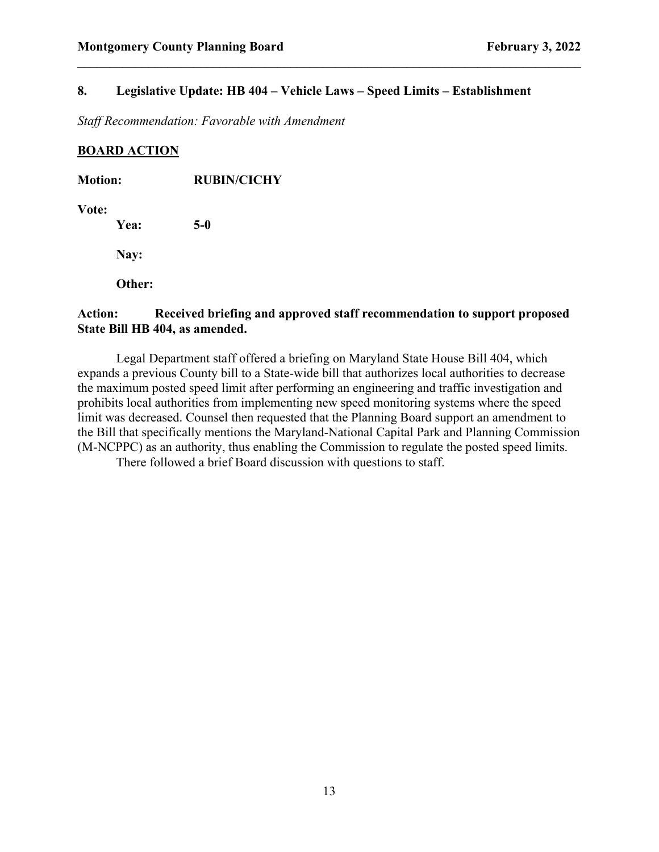## **8. Legislative Update: HB 404 – Vehicle Laws – Speed Limits – Establishment**

**\_\_\_\_\_\_\_\_\_\_\_\_\_\_\_\_\_\_\_\_\_\_\_\_\_\_\_\_\_\_\_\_\_\_\_\_\_\_\_\_\_\_\_\_\_\_\_\_\_\_\_\_\_\_\_\_\_\_\_\_\_\_\_\_\_\_\_\_\_\_\_\_\_\_\_\_\_\_**

*Staff Recommendation: Favorable with Amendment*

## **BOARD ACTION**

| <b>Motion:</b> |        | <b>RUBIN/CICHY</b> |  |
|----------------|--------|--------------------|--|
| Vote:          | Yea:   | $5-0$              |  |
|                | Nay:   |                    |  |
|                | Other: |                    |  |
|                |        |                    |  |

# **Action: Received briefing and approved staff recommendation to support proposed State Bill HB 404, as amended.**

Legal Department staff offered a briefing on Maryland State House Bill 404, which expands a previous County bill to a State-wide bill that authorizes local authorities to decrease the maximum posted speed limit after performing an engineering and traffic investigation and prohibits local authorities from implementing new speed monitoring systems where the speed limit was decreased. Counsel then requested that the Planning Board support an amendment to the Bill that specifically mentions the Maryland-National Capital Park and Planning Commission (M-NCPPC) as an authority, thus enabling the Commission to regulate the posted speed limits.

There followed a brief Board discussion with questions to staff.